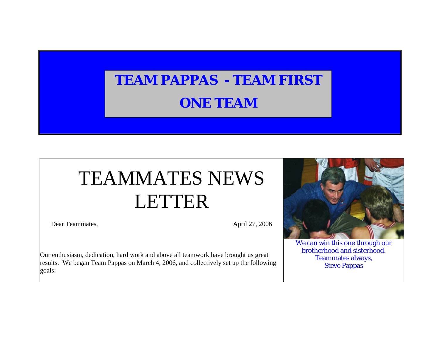## **TEAM PAPPAS - TEAM FIRSTONE TEAM**

## TEAMMATES NEWS LETTER

Dear Teammates, April 27, 2006

We can win this one through our brotherhood and sisterhood. Teammates always, Steve Pappas

Our enthusiasm, dedication, hard work and above all teamwork have brought us great results. We began Team Pappas on March 4, 2006, and collectively set up the following goals: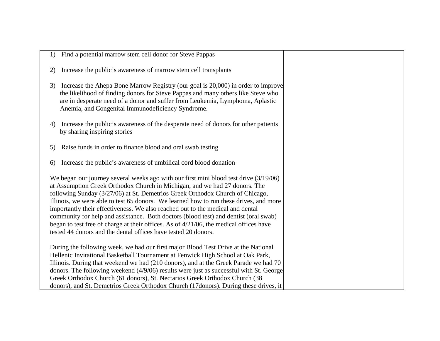| 1) | Find a potential marrow stem cell donor for Steve Pappas                                                                                                                                                                                                                                                                                                                                                                                                                                                                                                                                                                                                                             |
|----|--------------------------------------------------------------------------------------------------------------------------------------------------------------------------------------------------------------------------------------------------------------------------------------------------------------------------------------------------------------------------------------------------------------------------------------------------------------------------------------------------------------------------------------------------------------------------------------------------------------------------------------------------------------------------------------|
| 2) | Increase the public's awareness of marrow stem cell transplants                                                                                                                                                                                                                                                                                                                                                                                                                                                                                                                                                                                                                      |
| 3) | Increase the Ahepa Bone Marrow Registry (our goal is 20,000) in order to improve<br>the likelihood of finding donors for Steve Pappas and many others like Steve who<br>are in desperate need of a donor and suffer from Leukemia, Lymphoma, Aplastic<br>Anemia, and Congenital Immunodeficiency Syndrome.                                                                                                                                                                                                                                                                                                                                                                           |
| 4) | Increase the public's awareness of the desperate need of donors for other patients<br>by sharing inspiring stories                                                                                                                                                                                                                                                                                                                                                                                                                                                                                                                                                                   |
| 5) | Raise funds in order to finance blood and oral swab testing                                                                                                                                                                                                                                                                                                                                                                                                                                                                                                                                                                                                                          |
| 6) | Increase the public's awareness of umbilical cord blood donation                                                                                                                                                                                                                                                                                                                                                                                                                                                                                                                                                                                                                     |
|    | We began our journey several weeks ago with our first mini blood test drive (3/19/06)<br>at Assumption Greek Orthodox Church in Michigan, and we had 27 donors. The<br>following Sunday (3/27/06) at St. Demetrios Greek Orthodox Church of Chicago,<br>Illinois, we were able to test 65 donors. We learned how to run these drives, and more<br>importantly their effectiveness. We also reached out to the medical and dental<br>community for help and assistance. Both doctors (blood test) and dentist (oral swab)<br>began to test free of charge at their offices. As of 4/21/06, the medical offices have<br>tested 44 donors and the dental offices have tested 20 donors. |
|    | During the following week, we had our first major Blood Test Drive at the National<br>Hellenic Invitational Basketball Tournament at Fenwick High School at Oak Park,<br>Illinois. During that weekend we had (210 donors), and at the Greek Parade we had 70<br>donors. The following weekend (4/9/06) results were just as successful with St. George<br>Greek Orthodox Church (61 donors), St. Nectarios Greek Orthodox Church (38<br>donors), and St. Demetrios Greek Orthodox Church (17donors). During these drives, it                                                                                                                                                        |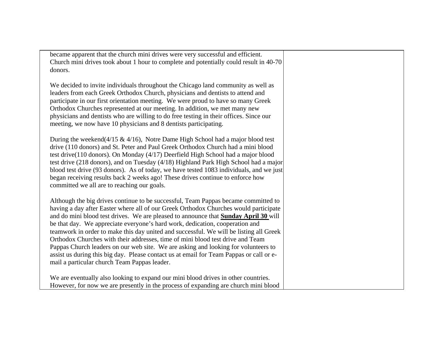| became apparent that the church mini drives were very successful and efficient.<br>Church mini drives took about 1 hour to complete and potentially could result in 40-70<br>donors.                                                                                                                                                                                                                                                                                                                                                                                                                                                                                                                                                                                  |
|-----------------------------------------------------------------------------------------------------------------------------------------------------------------------------------------------------------------------------------------------------------------------------------------------------------------------------------------------------------------------------------------------------------------------------------------------------------------------------------------------------------------------------------------------------------------------------------------------------------------------------------------------------------------------------------------------------------------------------------------------------------------------|
| We decided to invite individuals throughout the Chicago land community as well as<br>leaders from each Greek Orthodox Church, physicians and dentists to attend and<br>participate in our first orientation meeting. We were proud to have so many Greek<br>Orthodox Churches represented at our meeting. In addition, we met many new<br>physicians and dentists who are willing to do free testing in their offices. Since our<br>meeting, we now have 10 physicians and 8 dentists participating.                                                                                                                                                                                                                                                                  |
| During the weekend( $4/15 \& 4/16$ ), Notre Dame High School had a major blood test<br>drive (110 donors) and St. Peter and Paul Greek Orthodox Church had a mini blood<br>test drive(110 donors). On Monday (4/17) Deerfield High School had a major blood<br>test drive (218 donors), and on Tuesday (4/18) Highland Park High School had a major<br>blood test drive (93 donors). As of today, we have tested 1083 individuals, and we just<br>began receiving results back 2 weeks ago! These drives continue to enforce how<br>committed we all are to reaching our goals.                                                                                                                                                                                       |
| Although the big drives continue to be successful, Team Pappas became committed to<br>having a day after Easter where all of our Greek Orthodox Churches would participate<br>and do mini blood test drives. We are pleased to announce that <b>Sunday April 30</b> will<br>be that day. We appreciate everyone's hard work, dedication, cooperation and<br>teamwork in order to make this day united and successful. We will be listing all Greek<br>Orthodox Churches with their addresses, time of mini blood test drive and Team<br>Pappas Church leaders on our web site. We are asking and looking for volunteers to<br>assist us during this big day. Please contact us at email for Team Pappas or call or e-<br>mail a particular church Team Pappas leader. |
| We are eventually also looking to expand our mini blood drives in other countries.<br>However, for now we are presently in the process of expanding are church mini blood                                                                                                                                                                                                                                                                                                                                                                                                                                                                                                                                                                                             |